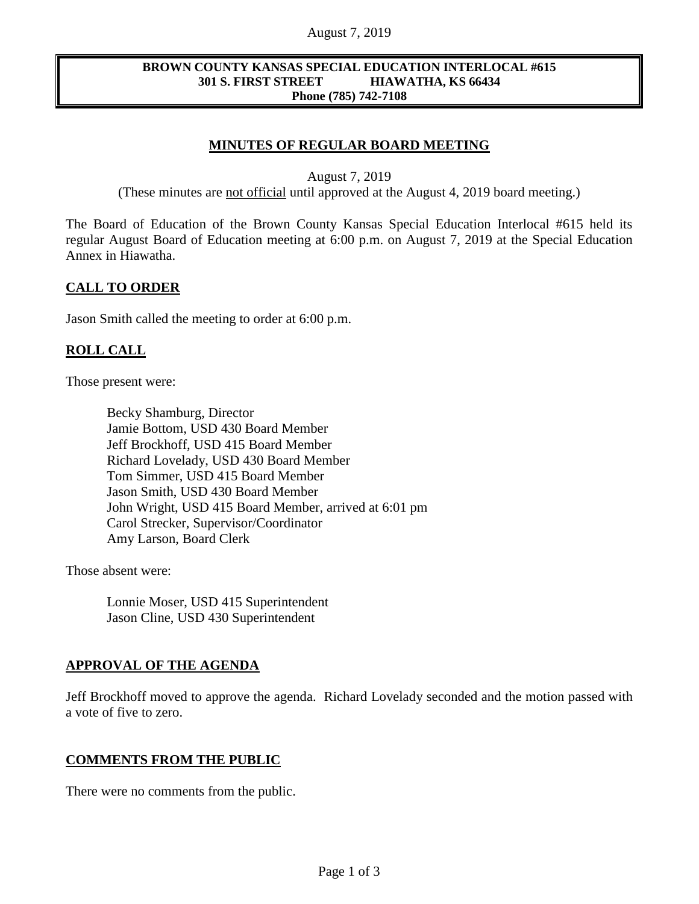#### August 7, 2019

#### **BROWN COUNTY KANSAS SPECIAL EDUCATION INTERLOCAL #615 301 S. FIRST STREET HIAWATHA, KS 66434 Phone (785) 742-7108**

## **MINUTES OF REGULAR BOARD MEETING**

August 7, 2019

(These minutes are not official until approved at the August 4, 2019 board meeting.)

The Board of Education of the Brown County Kansas Special Education Interlocal #615 held its regular August Board of Education meeting at 6:00 p.m. on August 7, 2019 at the Special Education Annex in Hiawatha.

#### **CALL TO ORDER**

Jason Smith called the meeting to order at 6:00 p.m.

### **ROLL CALL**

Those present were:

Becky Shamburg, Director Jamie Bottom, USD 430 Board Member Jeff Brockhoff, USD 415 Board Member Richard Lovelady, USD 430 Board Member Tom Simmer, USD 415 Board Member Jason Smith, USD 430 Board Member John Wright, USD 415 Board Member, arrived at 6:01 pm Carol Strecker, Supervisor/Coordinator Amy Larson, Board Clerk

Those absent were:

Lonnie Moser, USD 415 Superintendent Jason Cline, USD 430 Superintendent

#### **APPROVAL OF THE AGENDA**

Jeff Brockhoff moved to approve the agenda. Richard Lovelady seconded and the motion passed with a vote of five to zero.

#### **COMMENTS FROM THE PUBLIC**

There were no comments from the public.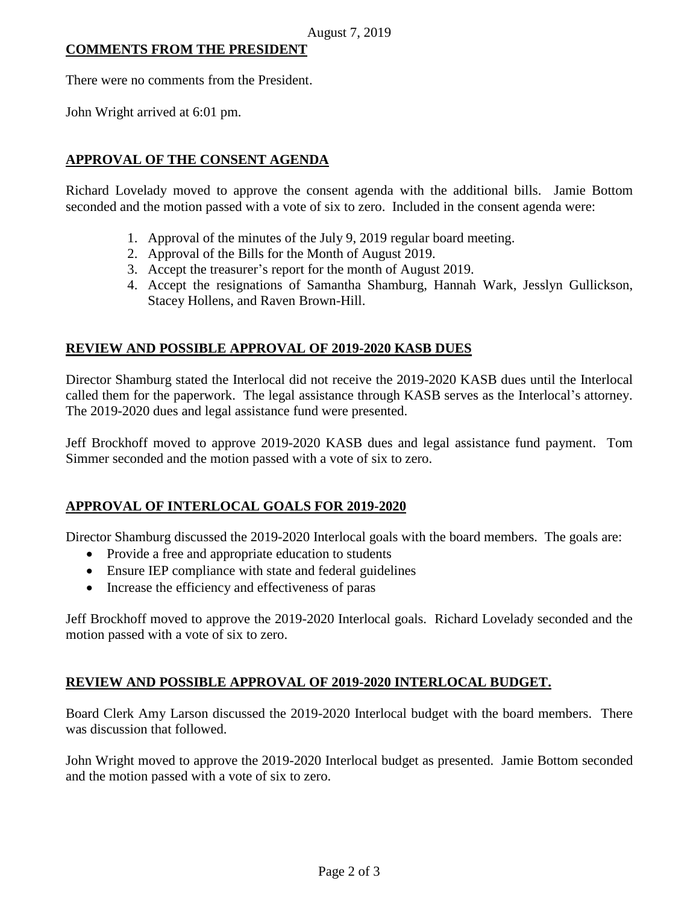## **COMMENTS FROM THE PRESIDENT**

There were no comments from the President.

John Wright arrived at 6:01 pm.

### **APPROVAL OF THE CONSENT AGENDA**

Richard Lovelady moved to approve the consent agenda with the additional bills. Jamie Bottom seconded and the motion passed with a vote of six to zero. Included in the consent agenda were:

- 1. Approval of the minutes of the July 9, 2019 regular board meeting.
- 2. Approval of the Bills for the Month of August 2019.
- 3. Accept the treasurer's report for the month of August 2019.
- 4. Accept the resignations of Samantha Shamburg, Hannah Wark, Jesslyn Gullickson, Stacey Hollens, and Raven Brown-Hill.

### **REVIEW AND POSSIBLE APPROVAL OF 2019-2020 KASB DUES**

Director Shamburg stated the Interlocal did not receive the 2019-2020 KASB dues until the Interlocal called them for the paperwork. The legal assistance through KASB serves as the Interlocal's attorney. The 2019-2020 dues and legal assistance fund were presented.

Jeff Brockhoff moved to approve 2019-2020 KASB dues and legal assistance fund payment. Tom Simmer seconded and the motion passed with a vote of six to zero.

#### **APPROVAL OF INTERLOCAL GOALS FOR 2019-2020**

Director Shamburg discussed the 2019-2020 Interlocal goals with the board members. The goals are:

- Provide a free and appropriate education to students
- Ensure IEP compliance with state and federal guidelines
- Increase the efficiency and effectiveness of paras

Jeff Brockhoff moved to approve the 2019-2020 Interlocal goals. Richard Lovelady seconded and the motion passed with a vote of six to zero.

## **REVIEW AND POSSIBLE APPROVAL OF 2019-2020 INTERLOCAL BUDGET.**

Board Clerk Amy Larson discussed the 2019-2020 Interlocal budget with the board members. There was discussion that followed.

John Wright moved to approve the 2019-2020 Interlocal budget as presented. Jamie Bottom seconded and the motion passed with a vote of six to zero.